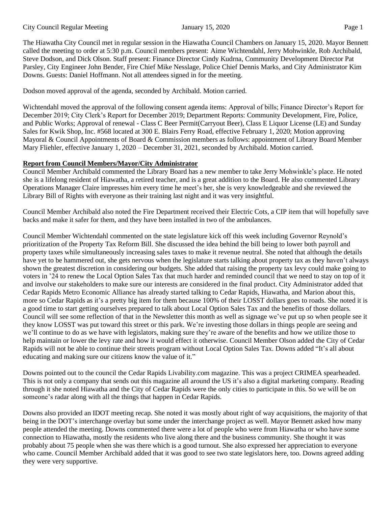The Hiawatha City Council met in regular session in the Hiawatha Council Chambers on January 15, 2020. Mayor Bennett called the meeting to order at 5:30 p.m. Council members present: Aime Wichtendahl, Jerry Mohwinkle, Rob Archibald, Steve Dodson, and Dick Olson. Staff present: Finance Director Cindy Kudrna, Community Development Director Pat Parsley, City Engineer John Bender, Fire Chief Mike Nesslage, Police Chief Dennis Marks, and City Administrator Kim Downs. Guests: Daniel Hoffmann. Not all attendees signed in for the meeting.

Dodson moved approval of the agenda, seconded by Archibald. Motion carried.

Wichtendahl moved the approval of the following consent agenda items: Approval of bills; Finance Director's Report for December 2019; City Clerk's Report for December 2019; Department Reports: Community Development, Fire, Police, and Public Works; Approval of renewal - Class C Beer Permit(Carryout Beer), Class E Liquor License (LE) and Sunday Sales for Kwik Shop, Inc. #568 located at 300 E. Blairs Ferry Road, effective February 1, 2020; Motion approving Mayoral & Council Appointments of Board & Commission members as follows: appointment of Library Board Member Mary Fliehler, effective January 1, 2020 – December 31, 2021, seconded by Archibald. Motion carried.

#### **Report from Council Members/Mayor/City Administrator**

Council Member Archibald commented the Library Board has a new member to take Jerry Mohwinkle's place. He noted she is a lifelong resident of Hiawatha, a retired teacher, and is a great addition to the Board. He also commented Library Operations Manager Claire impresses him every time he meet's her, she is very knowledgeable and she reviewed the Library Bill of Rights with everyone as their training last night and it was very insightful.

Council Member Archibald also noted the Fire Department received their Electric Cots, a CIP item that will hopefully save backs and make it safer for them, and they have been installed in two of the ambulances.

Council Member Wichtendahl commented on the state legislature kick off this week including Governor Reynold's prioritization of the Property Tax Reform Bill. She discussed the idea behind the bill being to lower both payroll and property taxes while simultaneously increasing sales taxes to make it revenue neutral. She noted that although the details have yet to be hammered out, she gets nervous when the legislature starts talking about property tax as they haven't always shown the greatest discretion in considering our budgets. She added that raising the property tax levy could make going to voters in '24 to renew the Local Option Sales Tax that much harder and reminded council that we need to stay on top of it and involve our stakeholders to make sure our interests are considered in the final product. City Administrator added that Cedar Rapids Metro Economic Alliance has already started talking to Cedar Rapids, Hiawatha, and Marion about this, more so Cedar Rapids as it's a pretty big item for them because 100% of their LOSST dollars goes to roads. She noted it is a good time to start getting ourselves prepared to talk about Local Option Sales Tax and the benefits of those dollars. Council will see some reflection of that in the Newsletter this month as well as signage we've put up so when people see it they know LOSST was put toward this street or this park. We're investing those dollars in things people are seeing and we'll continue to do as we have with legislators, making sure they're aware of the benefits and how we utilize those to help maintain or lower the levy rate and how it would effect it otherwise. Council Member Olson added the City of Cedar Rapids will not be able to continue their streets program without Local Option Sales Tax. Downs added "It's all about educating and making sure our citizens know the value of it."

Downs pointed out to the council the Cedar Rapids Livability.com magazine. This was a project CRIMEA spearheaded. This is not only a company that sends out this magazine all around the US it's also a digital marketing company. Reading through it she noted Hiawatha and the City of Cedar Rapids were the only cities to participate in this. So we will be on someone's radar along with all the things that happen in Cedar Rapids.

Downs also provided an IDOT meeting recap. She noted it was mostly about right of way acquisitions, the majority of that being in the DOT's interchange overlay but some under the interchange project as well. Mayor Bennett asked how many people attended the meeting. Downs commented there were a lot of people who were from Hiawatha or who have some connection to Hiawatha, mostly the residents who live along there and the business community. She thought it was probably about 75 people when she was there which is a good turnout. She also expressed her appreciation to everyone who came. Council Member Archibald added that it was good to see two state legislators here, too. Downs agreed adding they were very supportive.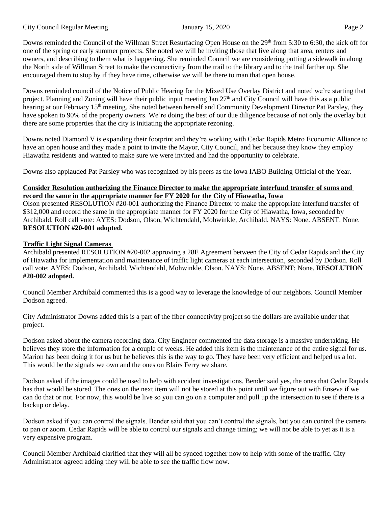Downs reminded the Council of the Willman Street Resurfacing Open House on the 29<sup>th</sup> from 5:30 to 6:30, the kick off for one of the spring or early summer projects. She noted we will be inviting those that live along that area, renters and owners, and describing to them what is happening. She reminded Council we are considering putting a sidewalk in along the North side of Willman Street to make the connectivity from the trail to the library and to the trail farther up. She encouraged them to stop by if they have time, otherwise we will be there to man that open house.

Downs reminded council of the Notice of Public Hearing for the Mixed Use Overlay District and noted we're starting that project. Planning and Zoning will have their public input meeting Jan  $27<sup>th</sup>$  and City Council will have this as a public hearing at our February 15<sup>th</sup> meeting. She noted between herself and Community Development Director Pat Parsley, they have spoken to 90% of the property owners. We're doing the best of our due diligence because of not only the overlay but there are some properties that the city is initiating the appropriate rezoning.

Downs noted Diamond V is expanding their footprint and they're working with Cedar Rapids Metro Economic Alliance to have an open house and they made a point to invite the Mayor, City Council, and her because they know they employ Hiawatha residents and wanted to make sure we were invited and had the opportunity to celebrate.

Downs also applauded Pat Parsley who was recognized by his peers as the Iowa IABO Building Official of the Year.

# **Consider Resolution authorizing the Finance Director to make the appropriate interfund transfer of sums and record the same in the appropriate manner for FY 2020 for the City of Hiawatha, Iowa**

Olson presented RESOLUTION #20-001 authorizing the Finance Director to make the appropriate interfund transfer of \$312,000 and record the same in the appropriate manner for FY 2020 for the City of Hiawatha, Iowa, seconded by Archibald. Roll call vote: AYES: Dodson, Olson, Wichtendahl, Mohwinkle, Archibald. NAYS: None. ABSENT: None. **RESOLUTION #20-001 adopted.** 

# **Traffic Light Signal Cameras**

Archibald presented RESOLUTION #20-002 approving a 28E Agreement between the City of Cedar Rapids and the City of Hiawatha for implementation and maintenance of traffic light cameras at each intersection, seconded by Dodson. Roll call vote: AYES: Dodson, Archibald, Wichtendahl, Mohwinkle, Olson. NAYS: None. ABSENT: None. **RESOLUTION #20-002 adopted.**

Council Member Archibald commented this is a good way to leverage the knowledge of our neighbors. Council Member Dodson agreed.

City Administrator Downs added this is a part of the fiber connectivity project so the dollars are available under that project.

Dodson asked about the camera recording data. City Engineer commented the data storage is a massive undertaking. He believes they store the information for a couple of weeks. He added this item is the maintenance of the entire signal for us. Marion has been doing it for us but he believes this is the way to go. They have been very efficient and helped us a lot. This would be the signals we own and the ones on Blairs Ferry we share.

Dodson asked if the images could be used to help with accident investigations. Bender said yes, the ones that Cedar Rapids has that would be stored. The ones on the next item will not be stored at this point until we figure out with Enseva if we can do that or not. For now, this would be live so you can go on a computer and pull up the intersection to see if there is a backup or delay.

Dodson asked if you can control the signals. Bender said that you can't control the signals, but you can control the camera to pan or zoom. Cedar Rapids will be able to control our signals and change timing; we will not be able to yet as it is a very expensive program.

Council Member Archibald clarified that they will all be synced together now to help with some of the traffic. City Administrator agreed adding they will be able to see the traffic flow now.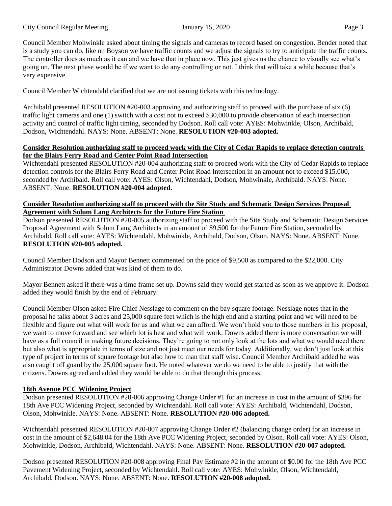Council Member Mohwinkle asked about timing the signals and cameras to record based on congestion. Bender noted that is a study you can do, like on Boyson we have traffic counts and we adjust the signals to try to anticipate the traffic counts. The controller does as much as it can and we have that in place now. This just gives us the chance to visually see what's going on. The next phase would be if we want to do any controlling or not. I think that will take a while because that's very expensive.

Council Member Wichtendahl clarified that we are not issuing tickets with this technology.

Archibald presented RESOLUTION #20-003 approving and authorizing staff to proceed with the purchase of six (6) traffic light cameras and one (1) switch with a cost not to exceed \$30,000 to provide observation of each intersection activity and control of traffic light timing, seconded by Dodson. Roll call vote: AYES: Mohwinkle, Olson, Archibald, Dodson, Wichtendahl. NAYS: None. ABSENT: None. **RESOLUTION #20-003 adopted.** 

# **Consider Resolution authorizing staff to proceed work with the City of Cedar Rapids to replace detection controls for the Blairs Ferry Road and Center Point Road Intersection**

Wichtendahl presented RESOLUTION #20-004 authorizing staff to proceed work with the City of Cedar Rapids to replace detection controls for the Blairs Ferry Road and Center Point Road Intersection in an amount not to exceed \$15,000, seconded by Archibald. Roll call vote: AYES: Olson, Wichtendahl, Dodson, Mohwinkle, Archibald. NAYS: None. ABSENT: None. **RESOLUTION #20-004 adopted.** 

# **Consider Resolution authorizing staff to proceed with the Site Study and Schematic Design Services Proposal Agreement with Solum Lang Architects for the Future Fire Station**

Dodson presented RESOLUTION #20-005 authorizing staff to proceed with the Site Study and Schematic Design Services Proposal Agreement with Solum Lang Architects in an amount of \$9,500 for the Future Fire Station, seconded by Archibald. Roll call vote: AYES: Wichtendahl, Mohwinkle, Archibald, Dodson, Olson. NAYS: None. ABSENT: None. **RESOLUTION #20-005 adopted.**

Council Member Dodson and Mayor Bennett commented on the price of \$9,500 as compared to the \$22,000. City Administrator Downs added that was kind of them to do.

Mayor Bennett asked if there was a time frame set up. Downs said they would get started as soon as we approve it. Dodson added they would finish by the end of February.

Council Member Olson asked Fire Chief Nesslage to comment on the bay square footage. Nesslage notes that in the proposal he talks about 3 acres and 25,000 square feet which is the high end and a starting point and we will need to be flexible and figure out what will work for us and what we can afford. We won't hold you to those numbers in his proposal, we want to move forward and see which lot is best and what will work. Downs added there is more conversation we will have as a full council in making future decisions. They're going to not only look at the lots and what we would need there but also what is appropriate in terms of size and not just meet our needs for today. Additionally, we don't just look at this type of project in terms of square footage but also how to man that staff wise. Council Member Archibald added he was also caught off guard by the 25,000 square foot. He noted whatever we do we need to be able to justify that with the citizens. Downs agreed and added they would be able to do that through this process.

# **18th Avenue PCC Widening Project**

Dodson presented RESOLUTION #20-006 approving Change Order #1 for an increase in cost in the amount of \$396 for 18th Ave PCC Widening Project, seconded by Wichtendahl. Roll call vote: AYES: Archibald, Wichtendahl, Dodson, Olson, Mohwinkle. NAYS: None. ABSENT: None. **RESOLUTION #20-006 adopted.** 

Wichtendahl presented RESOLUTION #20-007 approving Change Order #2 (balancing change order) for an increase in cost in the amount of \$2,648.04 for the 18th Ave PCC Widening Project, seconded by Olson. Roll call vote: AYES: Olson, Mohwinkle, Dodson, Archibald, Wichtendahl. NAYS: None. ABSENT: None. **RESOLUTION #20-007 adopted.** 

Dodson presented RESOLUTION #20-008 approving Final Pay Estimate #2 in the amount of \$0.00 for the 18th Ave PCC Pavement Widening Project, seconded by Wichtendahl. Roll call vote: AYES: Mohwinkle, Olson, Wichtendahl, Archibald, Dodson. NAYS: None. ABSENT: None. **RESOLUTION #20-008 adopted.**